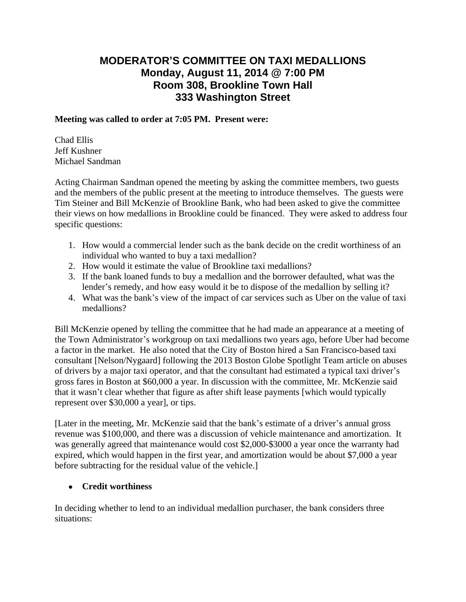# **MODERATOR'S COMMITTEE ON TAXI MEDALLIONS Monday, August 11, 2014 @ 7:00 PM Room 308, Brookline Town Hall 333 Washington Street**

#### **Meeting was called to order at 7:05 PM. Present were:**

Chad Ellis Jeff Kushner Michael Sandman

Acting Chairman Sandman opened the meeting by asking the committee members, two guests and the members of the public present at the meeting to introduce themselves. The guests were Tim Steiner and Bill McKenzie of Brookline Bank, who had been asked to give the committee their views on how medallions in Brookline could be financed. They were asked to address four specific questions:

- 1. How would a commercial lender such as the bank decide on the credit worthiness of an individual who wanted to buy a taxi medallion?
- 2. How would it estimate the value of Brookline taxi medallions?
- 3. If the bank loaned funds to buy a medallion and the borrower defaulted, what was the lender's remedy, and how easy would it be to dispose of the medallion by selling it?
- 4. What was the bank's view of the impact of car services such as Uber on the value of taxi medallions?

Bill McKenzie opened by telling the committee that he had made an appearance at a meeting of the Town Administrator's workgroup on taxi medallions two years ago, before Uber had become a factor in the market. He also noted that the City of Boston hired a San Francisco-based taxi consultant [Nelson/Nygaard] following the 2013 Boston Globe Spotlight Team article on abuses of drivers by a major taxi operator, and that the consultant had estimated a typical taxi driver's gross fares in Boston at \$60,000 a year. In discussion with the committee, Mr. McKenzie said that it wasn't clear whether that figure as after shift lease payments [which would typically represent over \$30,000 a year], or tips.

[Later in the meeting, Mr. McKenzie said that the bank's estimate of a driver's annual gross revenue was \$100,000, and there was a discussion of vehicle maintenance and amortization. It was generally agreed that maintenance would cost \$2,000-\$3000 a year once the warranty had expired, which would happen in the first year, and amortization would be about \$7,000 a year before subtracting for the residual value of the vehicle.]

## **Credit worthiness**

In deciding whether to lend to an individual medallion purchaser, the bank considers three situations: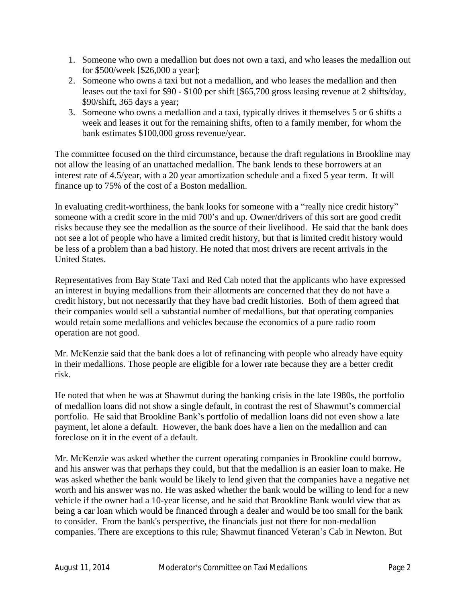- 1. Someone who own a medallion but does not own a taxi, and who leases the medallion out for \$500/week [\$26,000 a year];
- 2. Someone who owns a taxi but not a medallion, and who leases the medallion and then leases out the taxi for \$90 - \$100 per shift [\$65,700 gross leasing revenue at 2 shifts/day, \$90/shift, 365 days a year;
- 3. Someone who owns a medallion and a taxi, typically drives it themselves 5 or 6 shifts a week and leases it out for the remaining shifts, often to a family member, for whom the bank estimates \$100,000 gross revenue/year.

The committee focused on the third circumstance, because the draft regulations in Brookline may not allow the leasing of an unattached medallion. The bank lends to these borrowers at an interest rate of 4.5/year, with a 20 year amortization schedule and a fixed 5 year term. It will finance up to 75% of the cost of a Boston medallion.

In evaluating credit-worthiness, the bank looks for someone with a "really nice credit history" someone with a credit score in the mid 700's and up. Owner/drivers of this sort are good credit risks because they see the medallion as the source of their livelihood. He said that the bank does not see a lot of people who have a limited credit history, but that is limited credit history would be less of a problem than a bad history. He noted that most drivers are recent arrivals in the United States.

Representatives from Bay State Taxi and Red Cab noted that the applicants who have expressed an interest in buying medallions from their allotments are concerned that they do not have a credit history, but not necessarily that they have bad credit histories. Both of them agreed that their companies would sell a substantial number of medallions, but that operating companies would retain some medallions and vehicles because the economics of a pure radio room operation are not good.

Mr. McKenzie said that the bank does a lot of refinancing with people who already have equity in their medallions. Those people are eligible for a lower rate because they are a better credit risk.

He noted that when he was at Shawmut during the banking crisis in the late 1980s, the portfolio of medallion loans did not show a single default, in contrast the rest of Shawmut's commercial portfolio. He said that Brookline Bank's portfolio of medallion loans did not even show a late payment, let alone a default. However, the bank does have a lien on the medallion and can foreclose on it in the event of a default.

Mr. McKenzie was asked whether the current operating companies in Brookline could borrow, and his answer was that perhaps they could, but that the medallion is an easier loan to make. He was asked whether the bank would be likely to lend given that the companies have a negative net worth and his answer was no. He was asked whether the bank would be willing to lend for a new vehicle if the owner had a 10-year license, and he said that Brookline Bank would view that as being a car loan which would be financed through a dealer and would be too small for the bank to consider. From the bank's perspective, the financials just not there for non-medallion companies. There are exceptions to this rule; Shawmut financed Veteran's Cab in Newton. But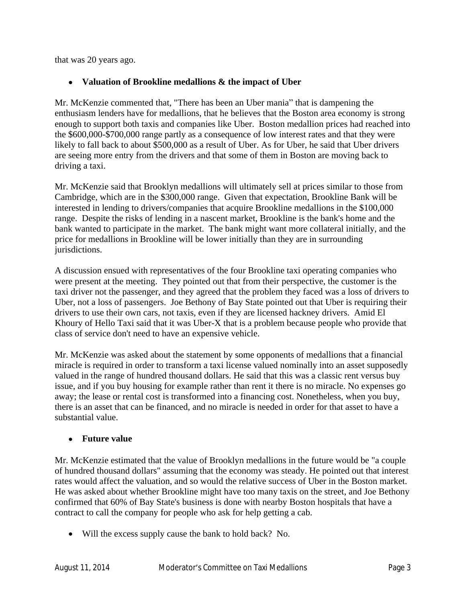that was 20 years ago.

## **Valuation of Brookline medallions & the impact of Uber**

Mr. McKenzie commented that, "There has been an Uber mania" that is dampening the enthusiasm lenders have for medallions, that he believes that the Boston area economy is strong enough to support both taxis and companies like Uber. Boston medallion prices had reached into the \$600,000-\$700,000 range partly as a consequence of low interest rates and that they were likely to fall back to about \$500,000 as a result of Uber. As for Uber, he said that Uber drivers are seeing more entry from the drivers and that some of them in Boston are moving back to driving a taxi.

Mr. McKenzie said that Brooklyn medallions will ultimately sell at prices similar to those from Cambridge, which are in the \$300,000 range. Given that expectation, Brookline Bank will be interested in lending to drivers/companies that acquire Brookline medallions in the \$100,000 range. Despite the risks of lending in a nascent market, Brookline is the bank's home and the bank wanted to participate in the market. The bank might want more collateral initially, and the price for medallions in Brookline will be lower initially than they are in surrounding jurisdictions.

A discussion ensued with representatives of the four Brookline taxi operating companies who were present at the meeting. They pointed out that from their perspective, the customer is the taxi driver not the passenger, and they agreed that the problem they faced was a loss of drivers to Uber, not a loss of passengers. Joe Bethony of Bay State pointed out that Uber is requiring their drivers to use their own cars, not taxis, even if they are licensed hackney drivers. Amid El Khoury of Hello Taxi said that it was Uber-X that is a problem because people who provide that class of service don't need to have an expensive vehicle.

Mr. McKenzie was asked about the statement by some opponents of medallions that a financial miracle is required in order to transform a taxi license valued nominally into an asset supposedly valued in the range of hundred thousand dollars. He said that this was a classic rent versus buy issue, and if you buy housing for example rather than rent it there is no miracle. No expenses go away; the lease or rental cost is transformed into a financing cost. Nonetheless, when you buy, there is an asset that can be financed, and no miracle is needed in order for that asset to have a substantial value.

## **Future value**

Mr. McKenzie estimated that the value of Brooklyn medallions in the future would be "a couple of hundred thousand dollars" assuming that the economy was steady. He pointed out that interest rates would affect the valuation, and so would the relative success of Uber in the Boston market. He was asked about whether Brookline might have too many taxis on the street, and Joe Bethony confirmed that 60% of Bay State's business is done with nearby Boston hospitals that have a contract to call the company for people who ask for help getting a cab.

Will the excess supply cause the bank to hold back? No.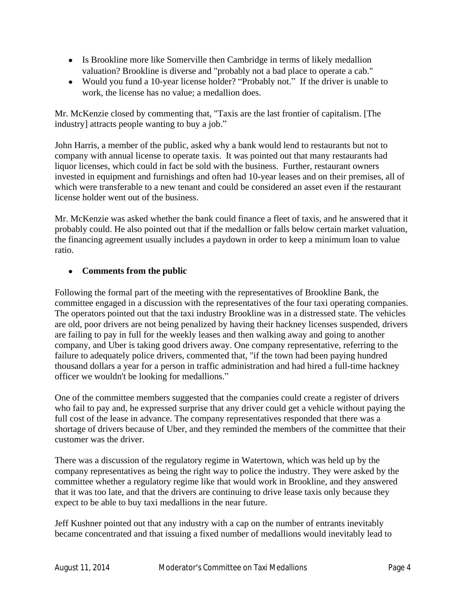- Is Brookline more like Somerville then Cambridge in terms of likely medallion valuation? Brookline is diverse and "probably not a bad place to operate a cab."
- Would you fund a 10-year license holder? "Probably not." If the driver is unable to work, the license has no value; a medallion does.

Mr. McKenzie closed by commenting that, "Taxis are the last frontier of capitalism. [The industry] attracts people wanting to buy a job."

John Harris, a member of the public, asked why a bank would lend to restaurants but not to company with annual license to operate taxis. It was pointed out that many restaurants had liquor licenses, which could in fact be sold with the business. Further, restaurant owners invested in equipment and furnishings and often had 10-year leases and on their premises, all of which were transferable to a new tenant and could be considered an asset even if the restaurant license holder went out of the business.

Mr. McKenzie was asked whether the bank could finance a fleet of taxis, and he answered that it probably could. He also pointed out that if the medallion or falls below certain market valuation, the financing agreement usually includes a paydown in order to keep a minimum loan to value ratio.

# **Comments from the public**

Following the formal part of the meeting with the representatives of Brookline Bank, the committee engaged in a discussion with the representatives of the four taxi operating companies. The operators pointed out that the taxi industry Brookline was in a distressed state. The vehicles are old, poor drivers are not being penalized by having their hackney licenses suspended, drivers are failing to pay in full for the weekly leases and then walking away and going to another company, and Uber is taking good drivers away. One company representative, referring to the failure to adequately police drivers, commented that, "if the town had been paying hundred thousand dollars a year for a person in traffic administration and had hired a full-time hackney officer we wouldn't be looking for medallions."

One of the committee members suggested that the companies could create a register of drivers who fail to pay and, he expressed surprise that any driver could get a vehicle without paying the full cost of the lease in advance. The company representatives responded that there was a shortage of drivers because of Uber, and they reminded the members of the committee that their customer was the driver.

There was a discussion of the regulatory regime in Watertown, which was held up by the company representatives as being the right way to police the industry. They were asked by the committee whether a regulatory regime like that would work in Brookline, and they answered that it was too late, and that the drivers are continuing to drive lease taxis only because they expect to be able to buy taxi medallions in the near future.

Jeff Kushner pointed out that any industry with a cap on the number of entrants inevitably became concentrated and that issuing a fixed number of medallions would inevitably lead to